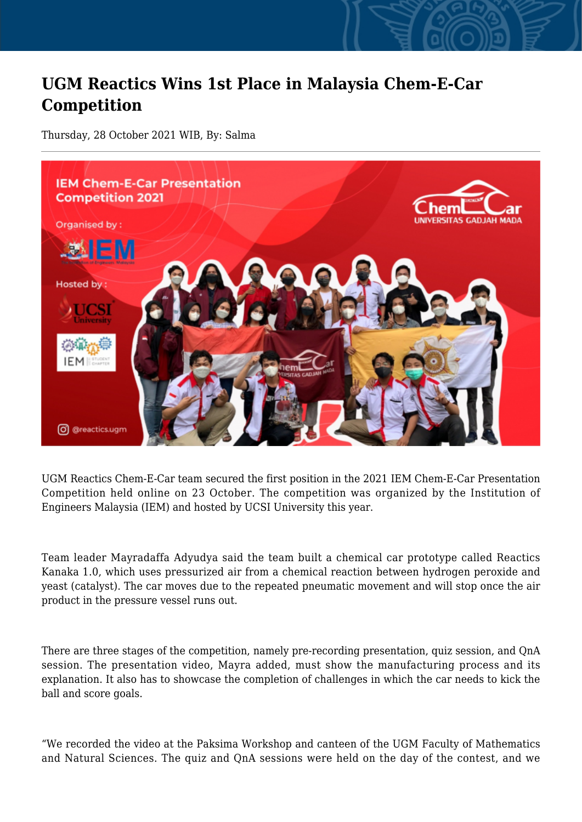## **UGM Reactics Wins 1st Place in Malaysia Chem-E-Car Competition**

Thursday, 28 October 2021 WIB, By: Salma



UGM Reactics Chem-E-Car team secured the first position in the 2021 IEM Chem-E-Car Presentation Competition held online on 23 October. The competition was organized by the Institution of Engineers Malaysia (IEM) and hosted by UCSI University this year.

Team leader Mayradaffa Adyudya said the team built a chemical car prototype called Reactics Kanaka 1.0, which uses pressurized air from a chemical reaction between hydrogen peroxide and yeast (catalyst). The car moves due to the repeated pneumatic movement and will stop once the air product in the pressure vessel runs out.

There are three stages of the competition, namely pre-recording presentation, quiz session, and QnA session. The presentation video, Mayra added, must show the manufacturing process and its explanation. It also has to showcase the completion of challenges in which the car needs to kick the ball and score goals.

"We recorded the video at the Paksima Workshop and canteen of the UGM Faculty of Mathematics and Natural Sciences. The quiz and QnA sessions were held on the day of the contest, and we